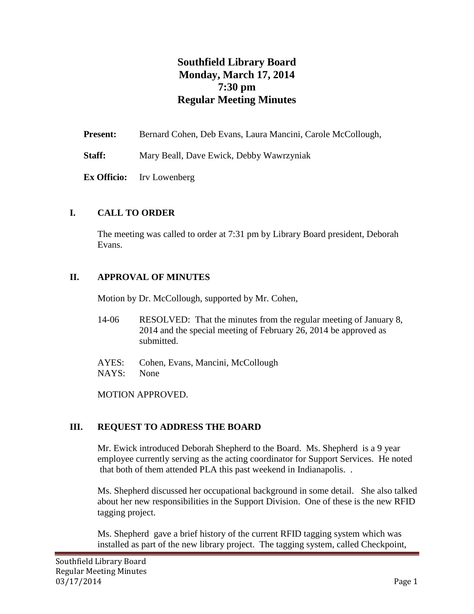# **Southfield Library Board Monday, March 17, 2014 7:30 pm Regular Meeting Minutes**

| <b>Present:</b> | Bernard Cohen, Deb Evans, Laura Mancini, Carole McCollough, |
|-----------------|-------------------------------------------------------------|
| Staff:          | Mary Beall, Dave Ewick, Debby Wawrzyniak                    |
|                 | <b>Ex Officio:</b> Irv Lowenberg                            |

#### **I. CALL TO ORDER**

The meeting was called to order at 7:31 pm by Library Board president, Deborah Evans.

#### **II. APPROVAL OF MINUTES**

Motion by Dr. McCollough, supported by Mr. Cohen,

- 14-06 RESOLVED: That the minutes from the regular meeting of January 8, 2014 and the special meeting of February 26, 2014 be approved as submitted.
- AYES: Cohen, Evans, Mancini, McCollough NAYS: None

MOTION APPROVED.

### **III. REQUEST TO ADDRESS THE BOARD**

Mr. Ewick introduced Deborah Shepherd to the Board. Ms. Shepherd is a 9 year employee currently serving as the acting coordinator for Support Services. He noted that both of them attended PLA this past weekend in Indianapolis. .

Ms. Shepherd discussed her occupational background in some detail. She also talked about her new responsibilities in the Support Division. One of these is the new RFID tagging project.

Ms. Shepherd gave a brief history of the current RFID tagging system which was installed as part of the new library project. The tagging system, called Checkpoint,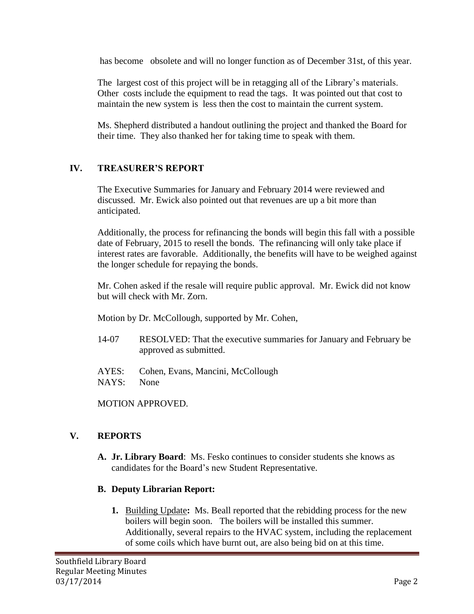has become obsolete and will no longer function as of December 31st, of this year.

The largest cost of this project will be in retagging all of the Library's materials. Other costs include the equipment to read the tags. It was pointed out that cost to maintain the new system is less then the cost to maintain the current system.

Ms. Shepherd distributed a handout outlining the project and thanked the Board for their time. They also thanked her for taking time to speak with them.

### **IV. TREASURER'S REPORT**

The Executive Summaries for January and February 2014 were reviewed and discussed. Mr. Ewick also pointed out that revenues are up a bit more than anticipated.

Additionally, the process for refinancing the bonds will begin this fall with a possible date of February, 2015 to resell the bonds. The refinancing will only take place if interest rates are favorable. Additionally, the benefits will have to be weighed against the longer schedule for repaying the bonds.

Mr. Cohen asked if the resale will require public approval. Mr. Ewick did not know but will check with Mr. Zorn.

Motion by Dr. McCollough, supported by Mr. Cohen,

- 14-07 RESOLVED: That the executive summaries for January and February be approved as submitted.
- AYES: Cohen, Evans, Mancini, McCollough NAYS: None

MOTION APPROVED.

### **V. REPORTS**

**A. Jr. Library Board**: Ms. Fesko continues to consider students she knows as candidates for the Board's new Student Representative.

### **B. Deputy Librarian Report:**

**1.** Building Update**:** Ms. Beall reported that the rebidding process for the new boilers will begin soon. The boilers will be installed this summer. Additionally, several repairs to the HVAC system, including the replacement of some coils which have burnt out, are also being bid on at this time.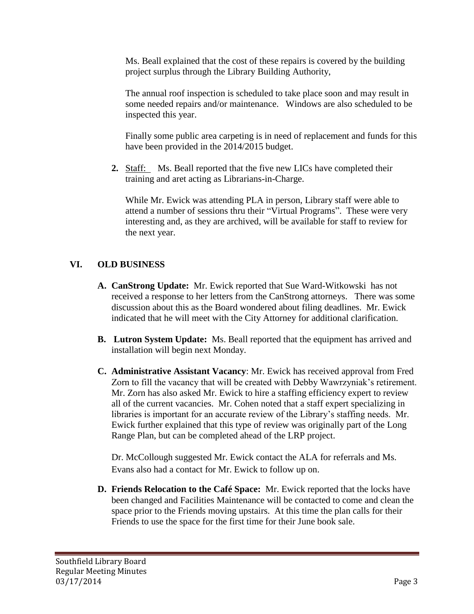Ms. Beall explained that the cost of these repairs is covered by the building project surplus through the Library Building Authority,

The annual roof inspection is scheduled to take place soon and may result in some needed repairs and/or maintenance. Windows are also scheduled to be inspected this year.

Finally some public area carpeting is in need of replacement and funds for this have been provided in the 2014/2015 budget.

**2.** Staff: Ms. Beall reported that the five new LICs have completed their training and aret acting as Librarians-in-Charge.

While Mr. Ewick was attending PLA in person, Library staff were able to attend a number of sessions thru their "Virtual Programs". These were very interesting and, as they are archived, will be available for staff to review for the next year.

## **VI. OLD BUSINESS**

- **A. CanStrong Update:** Mr. Ewick reported that Sue Ward-Witkowski has not received a response to her letters from the CanStrong attorneys. There was some discussion about this as the Board wondered about filing deadlines. Mr. Ewick indicated that he will meet with the City Attorney for additional clarification.
- **B. Lutron System Update:** Ms. Beall reported that the equipment has arrived and installation will begin next Monday.
- **C. Administrative Assistant Vacancy**: Mr. Ewick has received approval from Fred Zorn to fill the vacancy that will be created with Debby Wawrzyniak's retirement. Mr. Zorn has also asked Mr. Ewick to hire a staffing efficiency expert to review all of the current vacancies. Mr. Cohen noted that a staff expert specializing in libraries is important for an accurate review of the Library's staffing needs. Mr. Ewick further explained that this type of review was originally part of the Long Range Plan, but can be completed ahead of the LRP project.

Dr. McCollough suggested Mr. Ewick contact the ALA for referrals and Ms. Evans also had a contact for Mr. Ewick to follow up on.

**D. Friends Relocation to the Café Space:** Mr. Ewick reported that the locks have been changed and Facilities Maintenance will be contacted to come and clean the space prior to the Friends moving upstairs. At this time the plan calls for their Friends to use the space for the first time for their June book sale.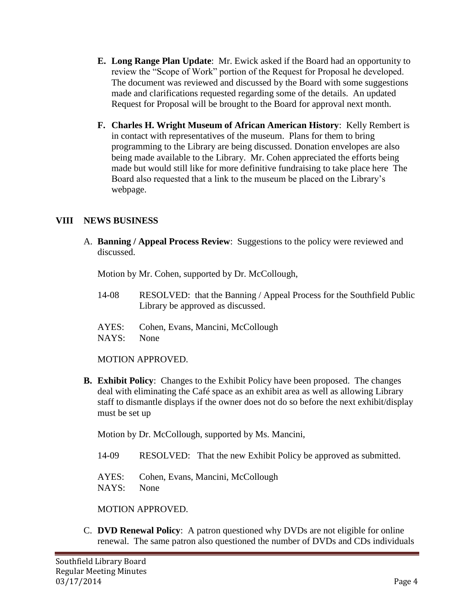- **E. Long Range Plan Update**: Mr. Ewick asked if the Board had an opportunity to review the "Scope of Work" portion of the Request for Proposal he developed. The document was reviewed and discussed by the Board with some suggestions made and clarifications requested regarding some of the details. An updated Request for Proposal will be brought to the Board for approval next month.
- **F. Charles H. Wright Museum of African American History**: Kelly Rembert is in contact with representatives of the museum. Plans for them to bring programming to the Library are being discussed. Donation envelopes are also being made available to the Library. Mr. Cohen appreciated the efforts being made but would still like for more definitive fundraising to take place here The Board also requested that a link to the museum be placed on the Library's webpage.

#### **VIII NEWS BUSINESS**

A. **Banning / Appeal Process Review**: Suggestions to the policy were reviewed and discussed.

Motion by Mr. Cohen, supported by Dr. McCollough,

- 14-08 RESOLVED: that the Banning / Appeal Process for the Southfield Public Library be approved as discussed.
- AYES: Cohen, Evans, Mancini, McCollough NAYS: None

MOTION APPROVED.

**B. Exhibit Policy**: Changes to the Exhibit Policy have been proposed. The changes deal with eliminating the Café space as an exhibit area as well as allowing Library staff to dismantle displays if the owner does not do so before the next exhibit/display must be set up

Motion by Dr. McCollough, supported by Ms. Mancini,

- 14-09 RESOLVED: That the new Exhibit Policy be approved as submitted.
- AYES: Cohen, Evans, Mancini, McCollough NAYS: None

MOTION APPROVED.

C. **DVD Renewal Policy**: A patron questioned why DVDs are not eligible for online renewal. The same patron also questioned the number of DVDs and CDs individuals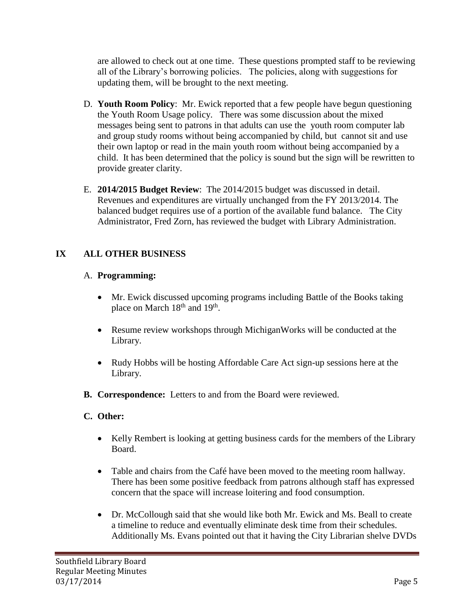are allowed to check out at one time. These questions prompted staff to be reviewing all of the Library's borrowing policies. The policies, along with suggestions for updating them, will be brought to the next meeting.

- D. **Youth Room Policy**: Mr. Ewick reported that a few people have begun questioning the Youth Room Usage policy. There was some discussion about the mixed messages being sent to patrons in that adults can use the youth room computer lab and group study rooms without being accompanied by child, but cannot sit and use their own laptop or read in the main youth room without being accompanied by a child. It has been determined that the policy is sound but the sign will be rewritten to provide greater clarity.
- E. **2014/2015 Budget Review**: The 2014/2015 budget was discussed in detail. Revenues and expenditures are virtually unchanged from the FY 2013/2014. The balanced budget requires use of a portion of the available fund balance. The City Administrator, Fred Zorn, has reviewed the budget with Library Administration.

## **IX ALL OTHER BUSINESS**

### A. **Programming:**

- Mr. Ewick discussed upcoming programs including Battle of the Books taking place on March  $18<sup>th</sup>$  and  $19<sup>th</sup>$ .
- Resume review workshops through MichiganWorks will be conducted at the Library.
- Rudy Hobbs will be hosting Affordable Care Act sign-up sessions here at the Library.
- **B. Correspondence:** Letters to and from the Board were reviewed.

## **C. Other:**

- Kelly Rembert is looking at getting business cards for the members of the Library Board.
- Table and chairs from the Café have been moved to the meeting room hallway. There has been some positive feedback from patrons although staff has expressed concern that the space will increase loitering and food consumption.
- Dr. McCollough said that she would like both Mr. Ewick and Ms. Beall to create a timeline to reduce and eventually eliminate desk time from their schedules. Additionally Ms. Evans pointed out that it having the City Librarian shelve DVDs